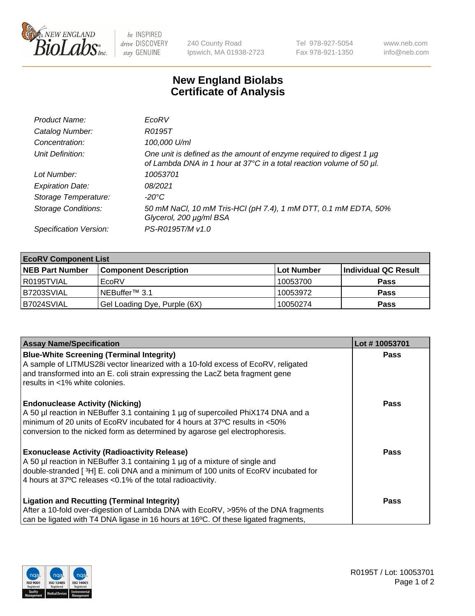

 $be$  INSPIRED drive DISCOVERY stay GENUINE

240 County Road Ipswich, MA 01938-2723 Tel 978-927-5054 Fax 978-921-1350 www.neb.com info@neb.com

## **New England Biolabs Certificate of Analysis**

| Product Name:              | EcoRV                                                                                                                                       |
|----------------------------|---------------------------------------------------------------------------------------------------------------------------------------------|
| Catalog Number:            | R0195T                                                                                                                                      |
| Concentration:             | 100,000 U/ml                                                                                                                                |
| Unit Definition:           | One unit is defined as the amount of enzyme required to digest 1 µg<br>of Lambda DNA in 1 hour at 37°C in a total reaction volume of 50 µl. |
| Lot Number:                | 10053701                                                                                                                                    |
| <b>Expiration Date:</b>    | 08/2021                                                                                                                                     |
| Storage Temperature:       | -20°C                                                                                                                                       |
| <b>Storage Conditions:</b> | 50 mM NaCl, 10 mM Tris-HCl (pH 7.4), 1 mM DTT, 0.1 mM EDTA, 50%<br>Glycerol, 200 µg/ml BSA                                                  |
| Specification Version:     | PS-R0195T/M v1.0                                                                                                                            |

| <b>EcoRV Component List</b> |                              |                   |                      |  |  |
|-----------------------------|------------------------------|-------------------|----------------------|--|--|
| <b>NEB Part Number</b>      | <b>Component Description</b> | <b>Lot Number</b> | Individual QC Result |  |  |
| I R0195TVIAL                | EcoRV                        | 10053700          | <b>Pass</b>          |  |  |
| B7203SVIAL                  | INEBuffer™ 3.1               | 10053972          | <b>Pass</b>          |  |  |
| B7024SVIAL                  | Gel Loading Dye, Purple (6X) | 10050274          | <b>Pass</b>          |  |  |

| <b>Assay Name/Specification</b>                                                                                                                                                                                                                                                                      | Lot #10053701 |
|------------------------------------------------------------------------------------------------------------------------------------------------------------------------------------------------------------------------------------------------------------------------------------------------------|---------------|
| <b>Blue-White Screening (Terminal Integrity)</b><br>A sample of LITMUS28i vector linearized with a 10-fold excess of EcoRV, religated<br>and transformed into an E. coli strain expressing the LacZ beta fragment gene<br>results in <1% white colonies.                                             | <b>Pass</b>   |
| <b>Endonuclease Activity (Nicking)</b><br>A 50 µl reaction in NEBuffer 3.1 containing 1 µg of supercoiled PhiX174 DNA and a<br>minimum of 20 units of EcoRV incubated for 4 hours at 37°C results in <50%<br>conversion to the nicked form as determined by agarose gel electrophoresis.             | <b>Pass</b>   |
| <b>Exonuclease Activity (Radioactivity Release)</b><br>A 50 µl reaction in NEBuffer 3.1 containing 1 µg of a mixture of single and<br>double-stranded [ <sup>3</sup> H] E. coli DNA and a minimum of 100 units of EcoRV incubated for<br>4 hours at 37°C releases < 0.1% of the total radioactivity. | Pass          |
| <b>Ligation and Recutting (Terminal Integrity)</b><br>After a 10-fold over-digestion of Lambda DNA with EcoRV, >95% of the DNA fragments<br>can be ligated with T4 DNA ligase in 16 hours at 16 <sup>o</sup> C. Of these ligated fragments,                                                          | <b>Pass</b>   |